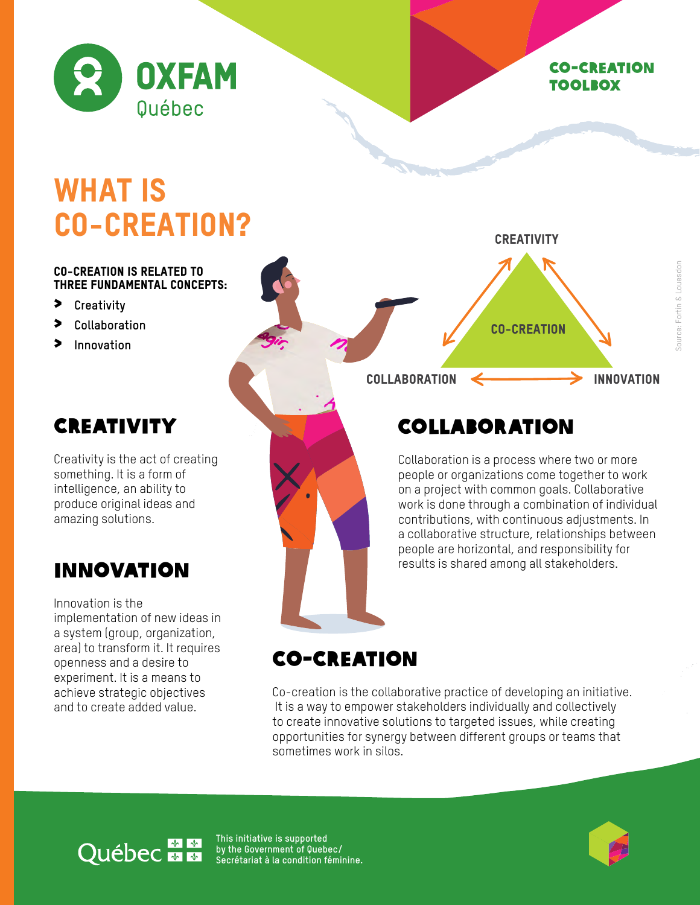

#### Co-creation toolbox

Source: Fortin & Louesdon

Source: Fortin & Louesdor

# WHAT IS co-creation?

#### Co-creation is related to three fundamental concepts:

- > **Creativity**
- > **Collaboration**
- > **Innovation**

### **CREATIVITY**

Creativity is the act of creating something. It is a form of intelligence, an ability to produce original ideas and amazing solutions.

### INNOVATION

Innovation is the implementation of new ideas in a system (group, organization, area) to transform it. It requires openness and a desire to experiment. It is a means to achieve strategic objectives and to create added value.

Co-creation **CREATIVITY** COLLABORATION <
We innovation

### COLLABORATION

Collaboration is a process where two or more people or organizations come together to work on a project with common goals. Collaborative work is done through a combination of individual contributions, with continuous adjustments. In a collaborative structure, relationships between people are horizontal, and responsibility for results is shared among all stakeholders.

### CO-CREATION

Co-creation is the collaborative practice of developing an initiative. It is a way to empower stakeholders individually and collectively to create innovative solutions to targeted issues, while creating opportunities for synergy between different groups or teams that sometimes work in silos.

## **Québector**

**This initiative is supported by the Government of Quebec/ Secrétariat à la condition féminine.**